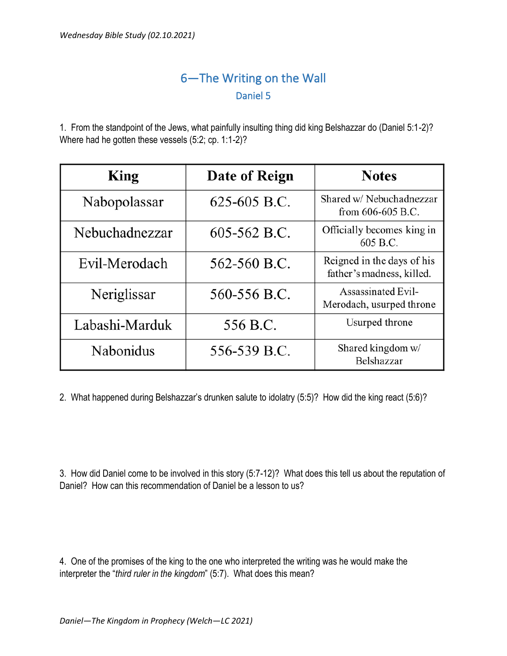## 6—The Writing on the Wall Daniel 5

1. From the standpoint of the Jews, what painfully insulting thing did king Belshazzar do (Daniel 5:1-2)? Where had he gotten these vessels (5:2; cp. 1:1-2)?

| King             | Date of Reign | <b>Notes</b>                                            |
|------------------|---------------|---------------------------------------------------------|
| Nabopolassar     | 625-605 B.C.  | Shared w/ Nebuchadnezzar<br>from $606-605$ B.C.         |
| Nebuchadnezzar   | 605-562 B.C.  | Officially becomes king in<br>605 B.C.                  |
| Evil-Merodach    | 562-560 B.C.  | Reigned in the days of his<br>father's madness, killed. |
| Neriglissar      | 560-556 B.C.  | <b>Assassinated Evil-</b><br>Merodach, usurped throne   |
| Labashi-Marduk   | 556 B.C.      | Usurped throne                                          |
| <b>Nabonidus</b> | 556-539 B.C.  | Shared kingdom w/<br>Belshazzar                         |

2. What happened during Belshazzar's drunken salute to idolatry (5:5)? How did the king react (5:6)?

3. How did Daniel come to be involved in this story (5:7-12)? What does this tell us about the reputation of Daniel? How can this recommendation of Daniel be a lesson to us?

4. One of the promises of the king to the one who interpreted the writing was he would make the interpreter the "*third ruler in the kingdom*" (5:7). What does this mean?